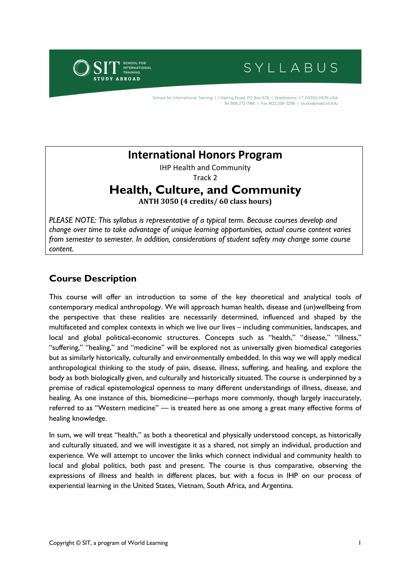

# SYLLABUS

School for International Training | 1 Kipling Road, PO Box 676 | Brattleboro, VT 05302-0676 USA Tel 888 272-7881 | Fax 802 258-3296 | studvabroad.sit.edu

## **International Honors Program**

IHP Health and Community

Track 2

## **Health, Culture, and Community**

**ANTH 3050 (4 credits/ 60 class hours)**

*PLEASE NOTE: This syllabus is representative of a typical term. Because courses develop and change over time to take advantage of unique learning opportunities, actual course content varies from semester to semester. In addition, considerations of student safety may change some course content.*

## **Course Description**

This course will offer an introduction to some of the key theoretical and analytical tools of contemporary medical anthropology. We will approach human health, disease and (un)wellbeing from the perspective that these realities are necessarily determined, influenced and shaped by the multifaceted and complex contexts in which we live our lives – including communities, landscapes, and local and global political-economic structures. Concepts such as "health," "disease," "illness," "suffering," "healing," and "medicine" will be explored not as universally given biomedical categories but as similarly historically, culturally and environmentally embedded. In this way we will apply medical anthropological thinking to the study of pain, disease, illness, suffering, and healing, and explore the body as both biologically given, and culturally and historically situated. The course is underpinned by a premise of radical epistemological openness to many different understandings of illness, disease, and healing. As one instance of this, biomedicine—perhaps more commonly, though largely inaccurately, referred to as "Western medicine" — is treated here as one among a great many effective forms of healing knowledge.

In sum, we will treat "health," as both a theoretical and physically understood concept, as historically and culturally situated, and we will investigate it as a shared, not simply an individual, production and experience. We will attempt to uncover the links which connect individual and community health to local and global politics, both past and present. The course is thus comparative, observing the expressions of illness and health in different places, but with a focus in IHP on our process of experiential learning in the United States, Vietnam, South Africa, and Argentina.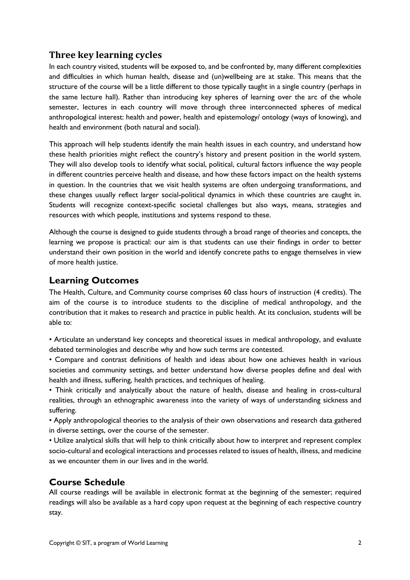## **Three key learning cycles**

In each country visited, students will be exposed to, and be confronted by, many different complexities and difficulties in which human health, disease and (un)wellbeing are at stake. This means that the structure of the course will be a little different to those typically taught in a single country (perhaps in the same lecture hall). Rather than introducing key spheres of learning over the arc of the whole semester, lectures in each country will move through three interconnected spheres of medical anthropological interest: health and power, health and epistemology/ ontology (ways of knowing), and health and environment (both natural and social).

This approach will help students identify the main health issues in each country, and understand how these health priorities might reflect the country's history and present position in the world system. They will also develop tools to identify what social, political, cultural factors influence the way people in different countries perceive health and disease, and how these factors impact on the health systems in question. In the countries that we visit health systems are often undergoing transformations, and these changes usually reflect larger social-political dynamics in which these countries are caught in. Students will recognize context-specific societal challenges but also ways, means, strategies and resources with which people, institutions and systems respond to these.

Although the course is designed to guide students through a broad range of theories and concepts, the learning we propose is practical: our aim is that students can use their findings in order to better understand their own position in the world and identify concrete paths to engage themselves in view of more health justice.

## **Learning Outcomes**

The Health, Culture, and Community course comprises 60 class hours of instruction (4 credits). The aim of the course is to introduce students to the discipline of medical anthropology, and the contribution that it makes to research and practice in public health. At its conclusion, students will be able to:

• Articulate an understand key concepts and theoretical issues in medical anthropology, and evaluate debated terminologies and describe why and how such terms are contested.

• Compare and contrast definitions of health and ideas about how one achieves health in various societies and community settings, and better understand how diverse peoples define and deal with health and illness, suffering, health practices, and techniques of healing.

• Think critically and analytically about the nature of health, disease and healing in cross-cultural realities, through an ethnographic awareness into the variety of ways of understanding sickness and suffering.

• Apply anthropological theories to the analysis of their own observations and research data gathered in diverse settings, over the course of the semester.

• Utilize analytical skills that will help to think critically about how to interpret and represent complex socio-cultural and ecological interactions and processes related to issues of health, illness, and medicine as we encounter them in our lives and in the world.

## **Course Schedule**

All course readings will be available in electronic format at the beginning of the semester; required readings will also be available as a hard copy upon request at the beginning of each respective country stay.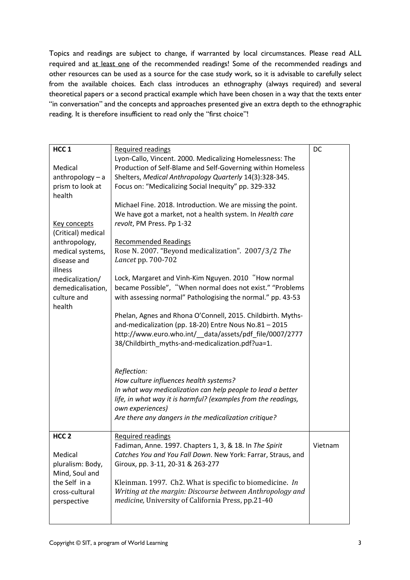Topics and readings are subject to change, if warranted by local circumstances. Please read ALL required and at least one of the recommended readings! Some of the recommended readings and other resources can be used as a source for the case study work, so it is advisable to carefully select from the available choices. Each class introduces an ethnography (always required) and several theoretical papers or a second practical example which have been chosen in a way that the texts enter "in conversation" and the concepts and approaches presented give an extra depth to the ethnographic reading. It is therefore insufficient to read only the "first choice"!

| HCC <sub>1</sub>           | Required readings                                                                                                                                     | DC      |
|----------------------------|-------------------------------------------------------------------------------------------------------------------------------------------------------|---------|
|                            | Lyon-Callo, Vincent. 2000. Medicalizing Homelessness: The                                                                                             |         |
| Medical                    | Production of Self-Blame and Self-Governing within Homeless                                                                                           |         |
| $anthropology - a$         | Shelters, Medical Anthropology Quarterly 14(3):328-345.                                                                                               |         |
| prism to look at           | Focus on: "Medicalizing Social Inequity" pp. 329-332                                                                                                  |         |
| health                     |                                                                                                                                                       |         |
| Key concepts               | Michael Fine. 2018. Introduction. We are missing the point.<br>We have got a market, not a health system. In Health care<br>revolt, PM Press. Pp 1-32 |         |
| (Critical) medical         |                                                                                                                                                       |         |
| anthropology,              | <b>Recommended Readings</b>                                                                                                                           |         |
| medical systems,           | Rose N. 2007. "Beyond medicalization". 2007/3/2 The                                                                                                   |         |
| disease and                | Lancet pp. 700-702                                                                                                                                    |         |
| illness<br>medicalization/ | Lock, Margaret and Vinh-Kim Nguyen. 2010 "How normal                                                                                                  |         |
| demedicalisation,          | became Possible", "When normal does not exist." "Problems                                                                                             |         |
| culture and                | with assessing normal" Pathologising the normal." pp. 43-53                                                                                           |         |
| health                     |                                                                                                                                                       |         |
|                            | Phelan, Agnes and Rhona O'Connell, 2015. Childbirth. Myths-                                                                                           |         |
|                            | and-medicalization (pp. 18-20) Entre Nous No.81 - 2015                                                                                                |         |
|                            | http://www.euro.who.int/_data/assets/pdf_file/0007/2777                                                                                               |         |
|                            | 38/Childbirth_myths-and-medicalization.pdf?ua=1.                                                                                                      |         |
|                            |                                                                                                                                                       |         |
|                            | Reflection:                                                                                                                                           |         |
|                            | How culture influences health systems?                                                                                                                |         |
|                            | In what way medicalization can help people to lead a better                                                                                           |         |
|                            | life, in what way it is harmful? (examples from the readings,                                                                                         |         |
|                            | own experiences)                                                                                                                                      |         |
|                            | Are there any dangers in the medicalization critique?                                                                                                 |         |
| HCC <sub>2</sub>           | <b>Required readings</b>                                                                                                                              |         |
|                            | Fadiman, Anne. 1997. Chapters 1, 3, & 18. In The Spirit                                                                                               | Vietnam |
| Medical                    | Catches You and You Fall Down. New York: Farrar, Straus, and                                                                                          |         |
| pluralism: Body,           | Giroux, pp. 3-11, 20-31 & 263-277                                                                                                                     |         |
| Mind, Soul and             |                                                                                                                                                       |         |
| the Self in a              | Kleinman. 1997. Ch2. What is specific to biomedicine. In                                                                                              |         |
| cross-cultural             | Writing at the margin: Discourse between Anthropology and                                                                                             |         |
| perspective                | medicine, University of California Press, pp.21-40                                                                                                    |         |
|                            |                                                                                                                                                       |         |
|                            |                                                                                                                                                       |         |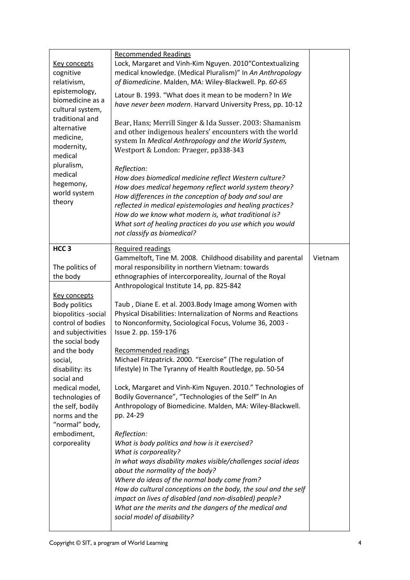| <b>Key concepts</b><br>cognitive<br>relativism,<br>epistemology,<br>biomedicine as a<br>cultural system,<br>traditional and<br>alternative<br>medicine,<br>modernity,<br>medical<br>pluralism,<br>medical<br>hegemony,<br>world system<br>theory                                                                                                                    | <b>Recommended Readings</b><br>Lock, Margaret and Vinh-Kim Nguyen. 2010"Contextualizing<br>medical knowledge. (Medical Pluralism)" In An Anthropology<br>of Biomedicine. Malden, MA: Wiley-Blackwell. Pp. 60-65<br>Latour B. 1993. "What does it mean to be modern? In We<br>have never been modern. Harvard University Press, pp. 10-12<br>Bear, Hans; Merrill Singer & Ida Susser. 2003: Shamanism<br>and other indigenous healers' encounters with the world<br>system In Medical Anthropology and the World System,<br>Westport & London: Praeger, pp338-343<br>Reflection:<br>How does biomedical medicine reflect Western culture?<br>How does medical hegemony reflect world system theory?<br>How differences in the conception of body and soul are<br>reflected in medical epistemologies and healing practices?<br>How do we know what modern is, what traditional is?<br>What sort of healing practices do you use which you would<br>not classify as biomedical?                                                                                                                                                                                                                                                                                                            |         |
|---------------------------------------------------------------------------------------------------------------------------------------------------------------------------------------------------------------------------------------------------------------------------------------------------------------------------------------------------------------------|------------------------------------------------------------------------------------------------------------------------------------------------------------------------------------------------------------------------------------------------------------------------------------------------------------------------------------------------------------------------------------------------------------------------------------------------------------------------------------------------------------------------------------------------------------------------------------------------------------------------------------------------------------------------------------------------------------------------------------------------------------------------------------------------------------------------------------------------------------------------------------------------------------------------------------------------------------------------------------------------------------------------------------------------------------------------------------------------------------------------------------------------------------------------------------------------------------------------------------------------------------------------------------------|---------|
| HCC <sub>3</sub><br>The politics of<br>the body<br><b>Key concepts</b><br>Body politics<br>biopolitics -social<br>control of bodies<br>and subjectivities<br>the social body<br>and the body<br>social,<br>disability: its<br>social and<br>medical model,<br>technologies of<br>the self, bodily<br>norms and the<br>"normal" body,<br>embodiment,<br>corporeality | <b>Required readings</b><br>Gammeltoft, Tine M. 2008. Childhood disability and parental<br>moral responsibility in northern Vietnam: towards<br>ethnographies of intercorporeality, Journal of the Royal<br>Anthropological Institute 14, pp. 825-842<br>Taub, Diane E. et al. 2003. Body Image among Women with<br>Physical Disabilities: Internalization of Norms and Reactions<br>to Nonconformity, Sociological Focus, Volume 36, 2003 -<br>Issue 2. pp. 159-176<br>Recommended readings<br>Michael Fitzpatrick. 2000. "Exercise" (The regulation of<br>lifestyle) In The Tyranny of Health Routledge, pp. 50-54<br>Lock, Margaret and Vinh-Kim Nguyen. 2010." Technologies of<br>Bodily Governance", "Technologies of the Self" In An<br>Anthropology of Biomedicine. Malden, MA: Wiley-Blackwell.<br>pp. 24-29<br>Reflection:<br>What is body politics and how is it exercised?<br>What is corporeality?<br>In what ways disability makes visible/challenges social ideas<br>about the normality of the body?<br>Where do ideas of the normal body come from?<br>How do cultural conceptions on the body, the soul and the self<br>impact on lives of disabled (and non-disabled) people?<br>What are the merits and the dangers of the medical and<br>social model of disability? | Vietnam |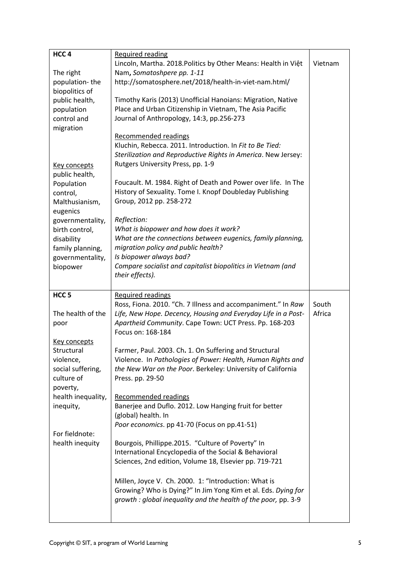| HCC <sub>4</sub>    | Required reading                                               |         |
|---------------------|----------------------------------------------------------------|---------|
|                     | Lincoln, Martha. 2018. Politics by Other Means: Health in Việt | Vietnam |
| The right           | Nam, Somatoshpere pp. 1-11                                     |         |
| population-the      | http://somatosphere.net/2018/health-in-viet-nam.html/          |         |
| biopolitics of      |                                                                |         |
| public health,      | Timothy Karis (2013) Unofficial Hanoians: Migration, Native    |         |
| population          | Place and Urban Citizenship in Vietnam, The Asia Pacific       |         |
| control and         | Journal of Anthropology, 14:3, pp.256-273                      |         |
| migration           |                                                                |         |
|                     | Recommended readings                                           |         |
|                     | Kluchin, Rebecca. 2011. Introduction. In Fit to Be Tied:       |         |
|                     | Sterilization and Reproductive Rights in America. New Jersey:  |         |
| Key concepts        | Rutgers University Press, pp. 1-9                              |         |
| public health,      |                                                                |         |
| Population          | Foucault. M. 1984. Right of Death and Power over life. In The  |         |
| control,            | History of Sexuality. Tome I. Knopf Doubleday Publishing       |         |
| Malthusianism,      | Group, 2012 pp. 258-272                                        |         |
| eugenics            |                                                                |         |
| governmentality,    | Reflection:                                                    |         |
| birth control,      | What is biopower and how does it work?                         |         |
| disability          | What are the connections between eugenics, family planning,    |         |
| family planning,    | migration policy and public health?                            |         |
| governmentality,    | Is biopower always bad?                                        |         |
| biopower            | Compare socialist and capitalist biopolitics in Vietnam (and   |         |
|                     | their effects).                                                |         |
|                     |                                                                |         |
|                     |                                                                |         |
|                     |                                                                |         |
| HCC <sub>5</sub>    | <b>Required readings</b>                                       |         |
|                     | Ross, Fiona. 2010. "Ch. 7 Illness and accompaniment." In Raw   | South   |
| The health of the   | Life, New Hope. Decency, Housing and Everyday Life in a Post-  | Africa  |
| poor                | Apartheid Community. Cape Town: UCT Press. Pp. 168-203         |         |
|                     | Focus on: 168-184                                              |         |
| <b>Key concepts</b> |                                                                |         |
| Structural          | Farmer, Paul. 2003. Ch. 1. On Suffering and Structural         |         |
| violence,           | Violence. In Pathologies of Power: Health, Human Rights and    |         |
| social suffering,   | the New War on the Poor. Berkeley: University of California    |         |
| culture of          | Press. pp. 29-50                                               |         |
| poverty,            |                                                                |         |
| health inequality,  | Recommended readings                                           |         |
| inequity,           | Banerjee and Duflo. 2012. Low Hanging fruit for better         |         |
|                     | (global) health. In                                            |         |
|                     | Poor economics. pp 41-70 (Focus on pp.41-51)                   |         |
| For fieldnote:      |                                                                |         |
| health inequity     | Bourgois, Phillippe.2015. "Culture of Poverty" In              |         |
|                     | International Encyclopedia of the Social & Behavioral          |         |
|                     | Sciences, 2nd edition, Volume 18, Elsevier pp. 719-721         |         |
|                     |                                                                |         |
|                     | Millen, Joyce V. Ch. 2000. 1: "Introduction: What is           |         |
|                     | Growing? Who is Dying?" In Jim Yong Kim et al. Eds. Dying for  |         |
|                     | growth: global inequality and the health of the poor, pp. 3-9  |         |
|                     |                                                                |         |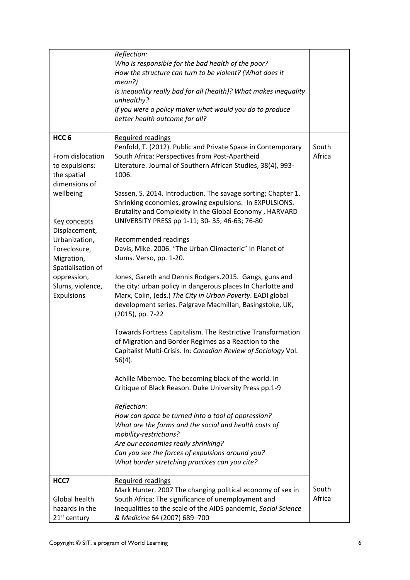|                                                                                        | Reflection:<br>Who is responsible for the bad health of the poor?<br>How the structure can turn to be violent? (What does it<br>mean?)<br>Is inequality really bad for all (health)? What makes inequality<br>unhealthy?<br>If you were a policy maker what would you do to produce<br>better health outcome for all? |                 |
|----------------------------------------------------------------------------------------|-----------------------------------------------------------------------------------------------------------------------------------------------------------------------------------------------------------------------------------------------------------------------------------------------------------------------|-----------------|
|                                                                                        |                                                                                                                                                                                                                                                                                                                       |                 |
| HCC <sub>6</sub><br>From dislocation<br>to expulsions:<br>the spatial<br>dimensions of | <b>Required readings</b><br>Penfold, T. (2012). Public and Private Space in Contemporary<br>South Africa: Perspectives from Post-Apartheid<br>Literature. Journal of Southern African Studies, 38(4), 993-<br>1006.                                                                                                   | South<br>Africa |
| wellbeing                                                                              | Sassen, S. 2014. Introduction. The savage sorting; Chapter 1.<br>Shrinking economies, growing expulsions. In EXPULSIONS.<br>Brutality and Complexity in the Global Economy, HARVARD                                                                                                                                   |                 |
| Key concepts<br>Displacement,<br>Urbanization,<br>Foreclosure,<br>Migration,           | UNIVERSITY PRESS pp 1-11; 30- 35; 46-63; 76-80<br>Recommended readings<br>Davis, Mike. 2006. "The Urban Climacteric" In Planet of<br>slums. Verso, pp. 1-20.                                                                                                                                                          |                 |
| Spatialisation of<br>oppression,<br>Slums, violence,<br><b>Expulsions</b>              | Jones, Gareth and Dennis Rodgers.2015. Gangs, guns and<br>the city: urban policy in dangerous places In Charlotte and<br>Marx, Colin, (eds.) The City in Urban Poverty. EADI global<br>development series. Palgrave Macmillan, Basingstoke, UK,<br>(2015), pp. 7-22                                                   |                 |
|                                                                                        | Towards Fortress Capitalism. The Restrictive Transformation<br>of Migration and Border Regimes as a Reaction to the<br>Capitalist Multi-Crisis. In: Canadian Review of Sociology Vol.<br>56(4).                                                                                                                       |                 |
|                                                                                        | Achille Mbembe. The becoming black of the world. In<br>Critique of Black Reason. Duke University Press pp.1-9                                                                                                                                                                                                         |                 |
|                                                                                        | Reflection:<br>How can space be turned into a tool of oppression?<br>What are the forms and the social and health costs of<br>mobility-restrictions?<br>Are our economies really shrinking?<br>Can you see the forces of expulsions around you?<br>What border stretching practices can you cite?                     |                 |
| HCC7                                                                                   | <b>Required readings</b><br>Mark Hunter. 2007 The changing political economy of sex in                                                                                                                                                                                                                                | South           |
| Global health<br>hazards in the<br>21 <sup>st</sup> century                            | South Africa: The significance of unemployment and<br>inequalities to the scale of the AIDS pandemic, Social Science<br>& Medicine 64 (2007) 689-700                                                                                                                                                                  | Africa          |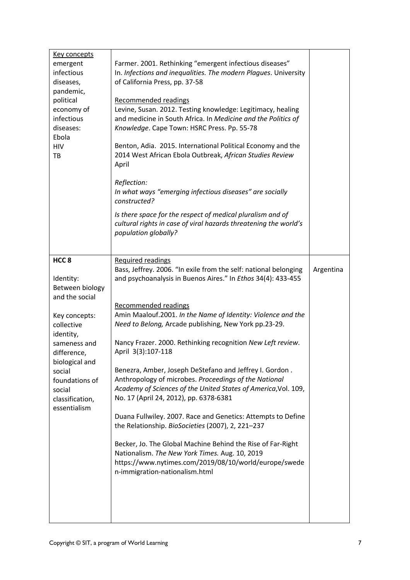| <u>Key concepts</u><br>emergent<br>infectious<br>diseases,<br>pandemic,<br>political<br>economy of<br>infectious<br>diseases:<br>Ebola<br><b>HIV</b><br>TB                                                                               | Farmer. 2001. Rethinking "emergent infectious diseases"<br>In. Infections and inequalities. The modern Plagues. University<br>of California Press, pp. 37-58<br>Recommended readings<br>Levine, Susan. 2012. Testing knowledge: Legitimacy, healing<br>and medicine in South Africa. In Medicine and the Politics of<br>Knowledge. Cape Town: HSRC Press. Pp. 55-78<br>Benton, Adia. 2015. International Political Economy and the<br>2014 West African Ebola Outbreak, African Studies Review<br>April<br>Reflection:<br>In what ways "emerging infectious diseases" are socially<br>constructed?<br>Is there space for the respect of medical pluralism and of<br>cultural rights in case of viral hazards threatening the world's<br>population globally?                                                                                                                                                                                                        |           |
|------------------------------------------------------------------------------------------------------------------------------------------------------------------------------------------------------------------------------------------|---------------------------------------------------------------------------------------------------------------------------------------------------------------------------------------------------------------------------------------------------------------------------------------------------------------------------------------------------------------------------------------------------------------------------------------------------------------------------------------------------------------------------------------------------------------------------------------------------------------------------------------------------------------------------------------------------------------------------------------------------------------------------------------------------------------------------------------------------------------------------------------------------------------------------------------------------------------------|-----------|
| HCC <sub>8</sub><br>Identity:<br>Between biology<br>and the social<br>Key concepts:<br>collective<br>identity,<br>sameness and<br>difference,<br>biological and<br>social<br>foundations of<br>social<br>classification,<br>essentialism | <b>Required readings</b><br>Bass, Jeffrey. 2006. "In exile from the self: national belonging<br>and psychoanalysis in Buenos Aires." In Ethos 34(4): 433-455<br>Recommended readings<br>Amin Maalouf.2001. In the Name of Identity: Violence and the<br>Need to Belong, Arcade publishing, New York pp.23-29.<br>Nancy Frazer. 2000. Rethinking recognition New Left review.<br>April 3(3):107-118<br>Benezra, Amber, Joseph DeStefano and Jeffrey I. Gordon.<br>Anthropology of microbes. Proceedings of the National<br>Academy of Sciences of the United States of America, Vol. 109,<br>No. 17 (April 24, 2012), pp. 6378-6381<br>Duana Fullwiley. 2007. Race and Genetics: Attempts to Define<br>the Relationship. BioSocieties (2007), 2, 221-237<br>Becker, Jo. The Global Machine Behind the Rise of Far-Right<br>Nationalism. The New York Times. Aug. 10, 2019<br>https://www.nytimes.com/2019/08/10/world/europe/swede<br>n-immigration-nationalism.html | Argentina |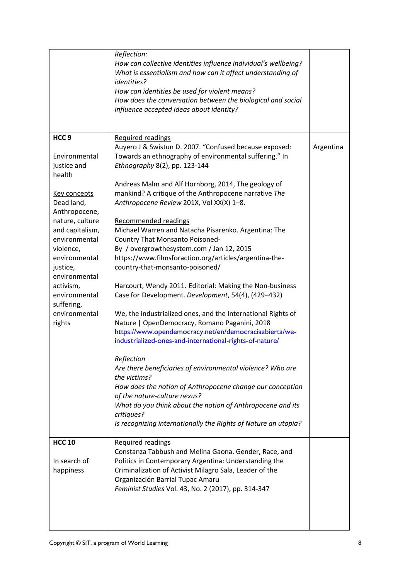|                                                                                                                                                                                                                                                                                                    | Reflection:<br>How can collective identities influence individual's wellbeing?<br>What is essentialism and how can it affect understanding of<br><i>identities?</i><br>How can identities be used for violent means?<br>How does the conversation between the biological and social<br>influence accepted ideas about identity?                                                                                                                                                                                                                                                                                                                                                                                                                                                                                                                                                                                                                                                                                                                                                                                                                                                                                        |           |
|----------------------------------------------------------------------------------------------------------------------------------------------------------------------------------------------------------------------------------------------------------------------------------------------------|------------------------------------------------------------------------------------------------------------------------------------------------------------------------------------------------------------------------------------------------------------------------------------------------------------------------------------------------------------------------------------------------------------------------------------------------------------------------------------------------------------------------------------------------------------------------------------------------------------------------------------------------------------------------------------------------------------------------------------------------------------------------------------------------------------------------------------------------------------------------------------------------------------------------------------------------------------------------------------------------------------------------------------------------------------------------------------------------------------------------------------------------------------------------------------------------------------------------|-----------|
| HCC <sub>9</sub><br>Environmental<br>justice and<br>health<br>Key concepts<br>Dead land,<br>Anthropocene,<br>nature, culture<br>and capitalism,<br>environmental<br>violence,<br>environmental<br>justice,<br>environmental<br>activism,<br>environmental<br>suffering,<br>environmental<br>rights | <b>Required readings</b><br>Auyero J & Swistun D. 2007. "Confused because exposed:<br>Towards an ethnography of environmental suffering." In<br>Ethnography 8(2), pp. 123-144<br>Andreas Malm and Alf Hornborg, 2014, The geology of<br>mankind? A critique of the Anthropocene narrative The<br>Anthropocene Review 201X, Vol XX(X) 1-8.<br>Recommended readings<br>Michael Warren and Natacha Pisarenko. Argentina: The<br>Country That Monsanto Poisoned-<br>By / overgrowthesystem.com / Jan 12, 2015<br>https://www.filmsforaction.org/articles/argentina-the-<br>country-that-monsanto-poisoned/<br>Harcourt, Wendy 2011. Editorial: Making the Non-business<br>Case for Development. Development, 54(4), (429-432)<br>We, the industrialized ones, and the International Rights of<br>Nature   OpenDemocracy, Romano Paganini, 2018<br>https://www.opendemocracy.net/en/democraciaabierta/we-<br>industrialized-ones-and-international-rights-of-nature/<br>Reflection<br>Are there beneficiaries of environmental violence? Who are<br>the victims?<br>How does the notion of Anthropocene change our conception<br>of the nature-culture nexus?<br>What do you think about the notion of Anthropocene and its | Argentina |
|                                                                                                                                                                                                                                                                                                    | critiques?<br>Is recognizing internationally the Rights of Nature an utopia?                                                                                                                                                                                                                                                                                                                                                                                                                                                                                                                                                                                                                                                                                                                                                                                                                                                                                                                                                                                                                                                                                                                                           |           |
| <b>HCC 10</b><br>In search of<br>happiness                                                                                                                                                                                                                                                         | <b>Required readings</b><br>Constanza Tabbush and Melina Gaona. Gender, Race, and<br>Politics in Contemporary Argentina: Understanding the<br>Criminalization of Activist Milagro Sala, Leader of the<br>Organización Barrial Tupac Amaru<br>Feminist Studies Vol. 43, No. 2 (2017), pp. 314-347                                                                                                                                                                                                                                                                                                                                                                                                                                                                                                                                                                                                                                                                                                                                                                                                                                                                                                                       |           |

 $\mathbf{I}$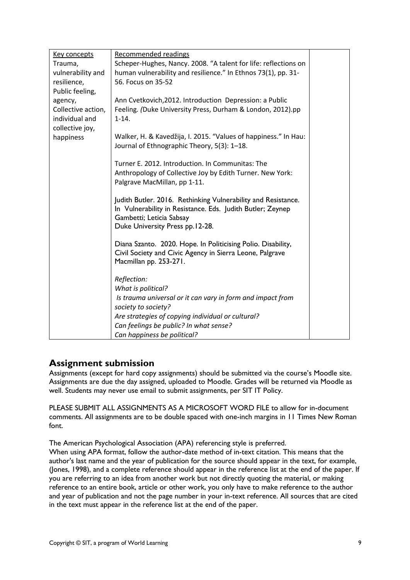| Key concepts       | Recommended readings                                            |  |
|--------------------|-----------------------------------------------------------------|--|
| Trauma,            | Scheper-Hughes, Nancy. 2008. "A talent for life: reflections on |  |
| vulnerability and  | human vulnerability and resilience." In Ethnos 73(1), pp. 31-   |  |
| resilience,        | 56. Focus on 35-52                                              |  |
| Public feeling,    |                                                                 |  |
| agency,            | Ann Cvetkovich, 2012. Introduction Depression: a Public         |  |
| Collective action, | Feeling. (Duke University Press, Durham & London, 2012).pp      |  |
| individual and     | $1 - 14.$                                                       |  |
| collective joy,    |                                                                 |  |
| happiness          | Walker, H. & Kavedžija, I. 2015. "Values of happiness." In Hau: |  |
|                    | Journal of Ethnographic Theory, 5(3): 1-18.                     |  |
|                    |                                                                 |  |
|                    | Turner E. 2012. Introduction. In Communitas: The                |  |
|                    | Anthropology of Collective Joy by Edith Turner. New York:       |  |
|                    | Palgrave MacMillan, pp 1-11.                                    |  |
|                    | Judith Butler. 2016. Rethinking Vulnerability and Resistance.   |  |
|                    | In Vulnerability in Resistance. Eds. Judith Butler; Zeynep      |  |
|                    | Gambetti; Leticia Sabsay                                        |  |
|                    | Duke University Press pp.12-28.                                 |  |
|                    |                                                                 |  |
|                    | Diana Szanto. 2020. Hope. In Politicising Polio. Disability,    |  |
|                    | Civil Society and Civic Agency in Sierra Leone, Palgrave        |  |
|                    | Macmillan pp. 253-271.                                          |  |
|                    |                                                                 |  |
|                    | Reflection:                                                     |  |
|                    | What is political?                                              |  |
|                    | Is trauma universal or it can vary in form and impact from      |  |
|                    | society to society?                                             |  |
|                    | Are strategies of copying individual or cultural?               |  |
|                    | Can feelings be public? In what sense?                          |  |
|                    | Can happiness be political?                                     |  |

### **Assignment submission**

Assignments (except for hard copy assignments) should be submitted via the course's Moodle site. Assignments are due the day assigned, uploaded to Moodle. Grades will be returned via Moodle as well. Students may never use email to submit assignments, per SIT IT Policy.

PLEASE SUBMIT ALL ASSIGNMENTS AS A MICROSOFT WORD FILE to allow for in-document comments. All assignments are to be double spaced with one-inch margins in 11 Times New Roman font.

The American Psychological Association (APA) referencing style is preferred.

When using APA format, follow the author-date method of in-text citation. This means that the author's last name and the year of publication for the source should appear in the text, for example, (Jones, 1998), and a complete reference should appear in the reference list at the end of the paper. If you are referring to an idea from another work but not directly quoting the material, or making reference to an entire book, article or other work, you only have to make reference to the author and year of publication and not the page number in your in-text reference. All sources that are cited in the text must appear in the reference list at the end of the paper.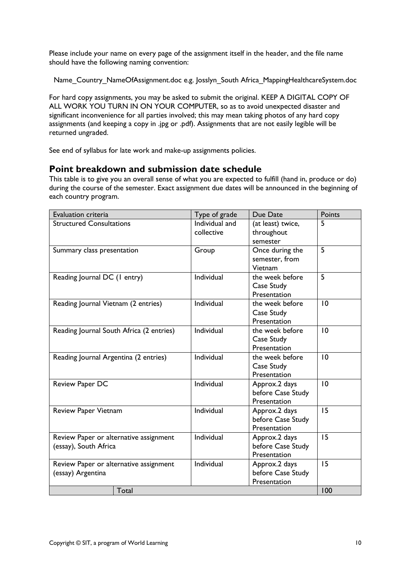Please include your name on every page of the assignment itself in the header, and the file name should have the following naming convention:

Name\_Country\_NameOfAssignment.doc e.g. Josslyn\_South Africa\_MappingHealthcareSystem.doc

For hard copy assignments, you may be asked to submit the original. KEEP A DIGITAL COPY OF ALL WORK YOU TURN IN ON YOUR COMPUTER, so as to avoid unexpected disaster and significant inconvenience for all parties involved; this may mean taking photos of any hard copy assignments (and keeping a copy in .jpg or .pdf). Assignments that are not easily legible will be returned ungraded.

See end of syllabus for late work and make-up assignments policies.

### **Point breakdown and submission date schedule**

This table is to give you an overall sense of what you are expected to fulfill (hand in, produce or do) during the course of the semester. Exact assignment due dates will be announced in the beginning of each country program.

| Evaluation criteria                      | Type of grade  | Due Date          | Points |
|------------------------------------------|----------------|-------------------|--------|
| <b>Structured Consultations</b>          | Individual and | (at least) twice, | 5      |
|                                          | collective     | throughout        |        |
|                                          |                | semester          |        |
| Summary class presentation               | Group          | Once during the   | 5      |
|                                          |                | semester, from    |        |
|                                          |                | Vietnam           |        |
| Reading Journal DC (I entry)             | Individual     | the week before   | 5      |
|                                          |                | Case Study        |        |
|                                          |                | Presentation      |        |
| Reading Journal Vietnam (2 entries)      | Individual     | the week before   | 10     |
|                                          |                | Case Study        |        |
|                                          |                | Presentation      |        |
| Reading Journal South Africa (2 entries) | Individual     | the week before   | 10     |
|                                          |                | Case Study        |        |
|                                          |                | Presentation      |        |
| Reading Journal Argentina (2 entries)    | Individual     | the week before   | 10     |
|                                          |                | Case Study        |        |
|                                          |                | Presentation      |        |
| Review Paper DC                          | Individual     | Approx.2 days     | 10     |
|                                          |                | before Case Study |        |
|                                          |                | Presentation      |        |
| Review Paper Vietnam                     | Individual     | Approx.2 days     | 15     |
|                                          |                | before Case Study |        |
|                                          |                | Presentation      |        |
| Review Paper or alternative assignment   | Individual     | Approx.2 days     | 15     |
| (essay), South Africa                    |                | before Case Study |        |
|                                          |                | Presentation      |        |
| Review Paper or alternative assignment   | Individual     | Approx.2 days     | 15     |
| (essay) Argentina                        |                | before Case Study |        |
|                                          |                | Presentation      |        |
| Total                                    |                |                   | 100    |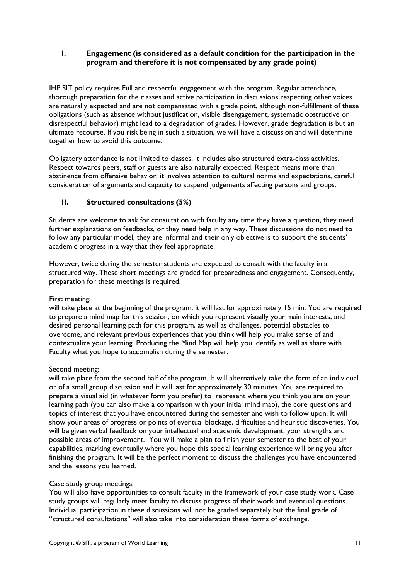#### **I. Engagement (is considered as a default condition for the participation in the program and therefore it is not compensated by any grade point)**

IHP SIT policy requires Full and respectful engagement with the program. Regular attendance, thorough preparation for the classes and active participation in discussions respecting other voices are naturally expected and are not compensated with a grade point, although non-fulfillment of these obligations (such as absence without justification, visible disengagement, systematic obstructive or disrespectful behavior) might lead to a degradation of grades. However, grade degradation is but an ultimate recourse. If you risk being in such a situation, we will have a discussion and will determine together how to avoid this outcome.

Obligatory attendance is not limited to classes, it includes also structured extra-class activities. Respect towards peers, staff or guests are also naturally expected. Respect means more than abstinence from offensive behavior: it involves attention to cultural norms and expectations, careful consideration of arguments and capacity to suspend judgements affecting persons and groups.

#### **II. Structured consultations (5%)**

Students are welcome to ask for consultation with faculty any time they have a question, they need further explanations on feedbacks, or they need help in any way. These discussions do not need to follow any particular model, they are informal and their only objective is to support the students' academic progress in a way that they feel appropriate.

However, twice during the semester students are expected to consult with the faculty in a structured way. These short meetings are graded for preparedness and engagement. Consequently, preparation for these meetings is required.

#### First meeting:

will take place at the beginning of the program, it will last for approximately 15 min. You are required to prepare a mind map for this session, on which you represent visually your main interests, and desired personal learning path for this program, as well as challenges, potential obstacles to overcome, and relevant previous experiences that you think will help you make sense of and contextualize your learning. Producing the Mind Map will help you identify as well as share with Faculty what you hope to accomplish during the semester.

#### Second meeting:

will take place from the second half of the program. It will alternatively take the form of an individual or of a small group discussion and it will last for approximately 30 minutes. You are required to prepare a visual aid (in whatever form you prefer) to represent where you think you are on your learning path (you can also make a comparison with your initial mind map), the core questions and topics of interest that you have encountered during the semester and wish to follow upon. It will show your areas of progress or points of eventual blockage, difficulties and heuristic discoveries. You will be given verbal feedback on your intellectual and academic development, your strengths and possible areas of improvement. You will make a plan to finish your semester to the best of your capabilities, marking eventually where you hope this special learning experience will bring you after finishing the program. It will be the perfect moment to discuss the challenges you have encountered and the lessons you learned.

#### Case study group meetings:

You will also have opportunities to consult faculty in the framework of your case study work. Case study groups will regularly meet faculty to discuss progress of their work and eventual questions. Individual participation in these discussions will not be graded separately but the final grade of "structured consultations" will also take into consideration these forms of exchange.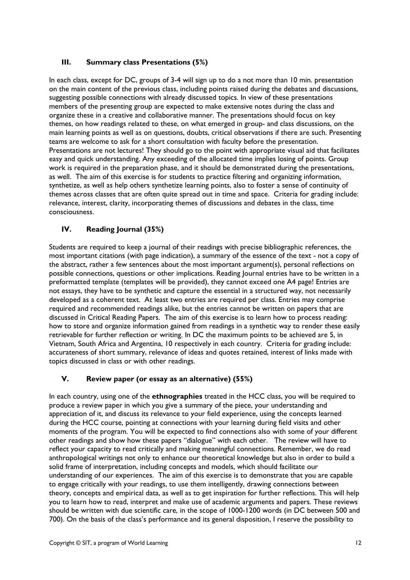#### **III. Summary class Presentations (5%)**

In each class, except for DC, groups of 3-4 will sign up to do a not more than 10 min. presentation on the main content of the previous class, including points raised during the debates and discussions, suggesting possible connections with already discussed topics. In view of these presentations members of the presenting group are expected to make extensive notes during the class and organize these in a creative and collaborative manner. The presentations should focus on key themes, on how readings related to these, on what emerged in group- and class discussions, on the main learning points as well as on questions, doubts, critical observations if there are such. Presenting teams are welcome to ask for a short consultation with faculty before the presentation. Presentations are not lectures! They should go to the point with appropriate visual aid that facilitates easy and quick understanding. Any exceeding of the allocated time implies losing of points. Group work is required in the preparation phase, and it should be demonstrated during the presentations, as well. The aim of this exercise is for students to practice filtering and organizing information, synthetize, as well as help others synthetize learning points, also to foster a sense of continuity of themes across classes that are often quite spread out in time and space. Criteria for grading include: relevance, interest, clarity, incorporating themes of discussions and debates in the class, time consciousness.

#### **IV. Reading Journal (35%)**

Students are required to keep a journal of their readings with precise bibliographic references, the most important citations (with page indication), a summary of the essence of the text - not a copy of the abstract, rather a few sentences about the most important argument(s), personal reflections on possible connections, questions or other implications. Reading Journal entries have to be written in a preformatted template (templates will be provided), they cannot exceed one A4 page! Entries are not essays, they have to be synthetic and capture the essential in a structured way, not necessarily developed as a coherent text. At least two entries are required per class. Entries may comprise required and recommended readings alike, but the entries cannot be written on papers that are discussed in Critical Reading Papers. The aim of this exercise is to learn how to process reading: how to store and organize information gained from readings in a synthetic way to render these easily retrievable for further reflection or writing. In DC the maximum points to be achieved are 5, in Vietnam, South Africa and Argentina, 10 respectively in each country. Criteria for grading include: accurateness of short summary, relevance of ideas and quotes retained, interest of links made with topics discussed in class or with other readings.

#### **V. Review paper (or essay as an alternative) (55%)**

In each country, using one of the **ethnographies** treated in the HCC class, you will be required to produce a review paper in which you give a summary of the piece, your understanding and appreciation of it, and discuss its relevance to your field experience, using the concepts learned during the HCC course, pointing at connections with your learning during field visits and other moments of the program. You will be expected to find connections also with some of your different other readings and show how these papers "dialogue" with each other. The review will have to reflect your capacity to read critically and making meaningful connections. Remember, we do read anthropological writings not only to enhance our theoretical knowledge but also in order to build a solid frame of interpretation, including concepts and models, which should facilitate our understanding of our experiences. The aim of this exercise is to demonstrate that you are capable to engage critically with your readings, to use them intelligently, drawing connections between theory, concepts and empirical data, as well as to get inspiration for further reflections. This will help you to learn how to read, interpret and make use of academic arguments and papers. These reviews should be written with due scientific care, in the scope of 1000-1200 words (in DC between 500 and 700). On the basis of the class's performance and its general disposition, I reserve the possibility to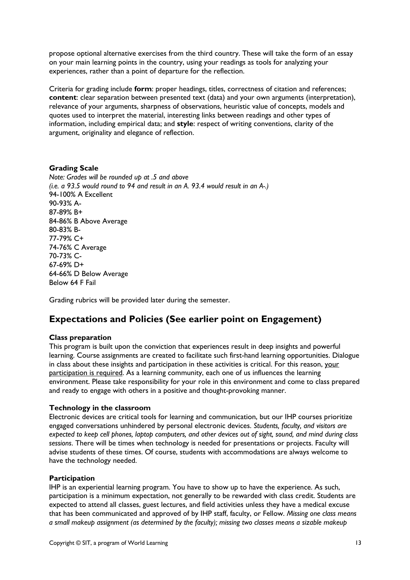propose optional alternative exercises from the third country. These will take the form of an essay on your main learning points in the country, using your readings as tools for analyzing your experiences, rather than a point of departure for the reflection.

Criteria for grading include **form**: proper headings, titles, correctness of citation and references; **content**: clear separation between presented text (data) and your own arguments (interpretation), relevance of your arguments, sharpness of observations, heuristic value of concepts, models and quotes used to interpret the material, interesting links between readings and other types of information, including empirical data; and **style**: respect of writing conventions, clarity of the argument, originality and elegance of reflection.

#### **Grading Scale**

*Note: Grades will be rounded up at .5 and above (i.e. a 93.5 would round to 94 and result in an A. 93.4 would result in an A-.)* 94-100% A Excellent 90-93% A-87-89% B+ 84-86% B Above Average 80-83% B-77-79% C+ 74-76% C Average 70-73% C-67-69% D+ 64-66% D Below Average Below 64 F Fail

Grading rubrics will be provided later during the semester.

## **Expectations and Policies (See earlier point on Engagement)**

#### **Class preparation**

This program is built upon the conviction that experiences result in deep insights and powerful learning. Course assignments are created to facilitate such first-hand learning opportunities. Dialogue in class about these insights and participation in these activities is critical. For this reason, your participation is required. As a learning community, each one of us influences the learning environment. Please take responsibility for your role in this environment and come to class prepared and ready to engage with others in a positive and thought-provoking manner.

#### **Technology in the classroom**

Electronic devices are critical tools for learning and communication, but our IHP courses prioritize engaged conversations unhindered by personal electronic devices. *Students, faculty, and visitors are expected to keep cell phones, laptop computers, and other devices out of sight, sound, and mind during class sessions*. There will be times when technology is needed for presentations or projects. Faculty will advise students of these times. Of course, students with accommodations are always welcome to have the technology needed.

#### **Participation**

IHP is an experiential learning program. You have to show up to have the experience. As such, participation is a minimum expectation, not generally to be rewarded with class credit. Students are expected to attend all classes, guest lectures, and field activities unless they have a medical excuse that has been communicated and approved of by IHP staff, faculty, or Fellow. *Missing one class means a small makeup assignment (as determined by the faculty); missing two classes means a sizable makeup*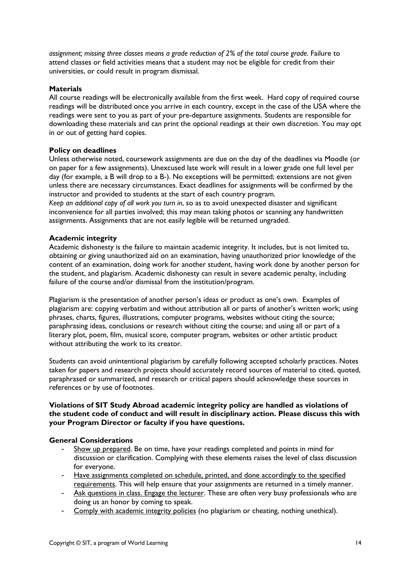*assignment; missing three classes means a grade reduction of 2% of the total course grade*. Failure to attend classes or field activities means that a student may not be eligible for credit from their universities, or could result in program dismissal.

#### **Materials**

All course readings will be electronically available from the first week. Hard copy of required course readings will be distributed once you arrive in each country, except in the case of the USA where the readings were sent to you as part of your pre-departure assignments. Students are responsible for downloading these materials and can print the optional readings at their own discretion. You may opt in or out of getting hard copies.

#### **Policy on deadlines**

Unless otherwise noted, coursework assignments are due on the day of the deadlines via Moodle (or on paper for a few assignments). Unexcused late work will result in a lower grade one full level per day (for example, a B will drop to a B-). No exceptions will be permitted; extensions are not given unless there are necessary circumstances. Exact deadlines for assignments will be confirmed by the instructor and provided to students at the start of each country program.

*Keep an additional copy of all work you turn in*, so as to avoid unexpected disaster and significant inconvenience for all parties involved; this may mean taking photos or scanning any handwritten assignments. Assignments that are not easily legible will be returned ungraded.

#### **Academic integrity**

Academic dishonesty is the failure to maintain academic integrity. It includes, but is not limited to, obtaining or giving unauthorized aid on an examination, having unauthorized prior knowledge of the content of an examination, doing work for another student, having work done by another person for the student, and plagiarism. Academic dishonesty can result in severe academic penalty, including failure of the course and/or dismissal from the institution/program.

Plagiarism is the presentation of another person's ideas or product as one's own. Examples of plagiarism are: copying verbatim and without attribution all or parts of another's written work; using phrases, charts, figures, illustrations, computer programs, websites without citing the source; paraphrasing ideas, conclusions or research without citing the course; and using all or part of a literary plot, poem, film, musical score, computer program, websites or other artistic product without attributing the work to its creator.

Students can avoid unintentional plagiarism by carefully following accepted scholarly practices. Notes taken for papers and research projects should accurately record sources of material to cited, quoted, paraphrased or summarized, and research or critical papers should acknowledge these sources in references or by use of footnotes.

#### **Violations of SIT Study Abroad academic integrity policy are handled as violations of the student code of conduct and will result in disciplinary action. Please discuss this with your Program Director or faculty if you have questions.**

#### **General Considerations**

- Show up prepared. Be on time, have your readings completed and points in mind for discussion or clarification. Complying with these elements raises the level of class discussion for everyone.
- Have assignments completed on schedule, printed, and done accordingly to the specified requirements. This will help ensure that your assignments are returned in a timely manner.
- Ask questions in class. Engage the lecturer. These are often very busy professionals who are doing us an honor by coming to speak.
- Comply with academic integrity policies (no plagiarism or cheating, nothing unethical).